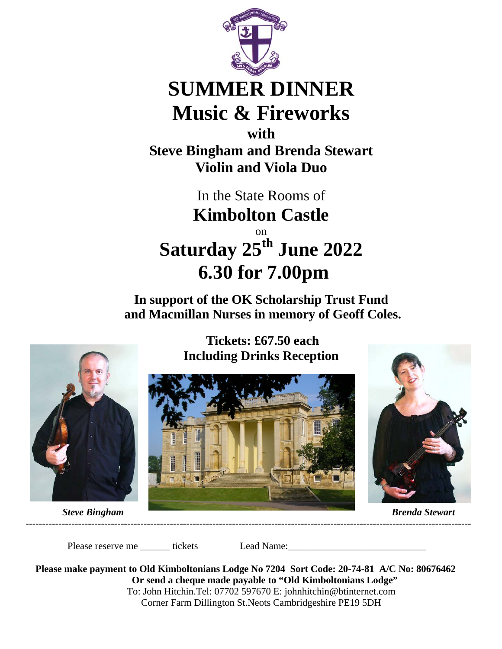

## **SUMMER DINNER Music & Fireworks**

**with Steve Bingham and Brenda Stewart Violin and Viola Duo** 

> In the State Rooms of **Kimbolton Castle**

on **Saturday 25th June 2022 6.30 for 7.00pm** 

**In support of the OK Scholarship Trust Fund and Macmillan Nurses in memory of Geoff Coles.** 



 **Tickets: £67.50 each Including Drinks Reception** 





Please reserve me \_\_\_\_\_\_ tickets Lead Name:\_\_\_\_\_\_\_\_\_\_\_\_\_\_\_\_\_\_\_\_\_\_\_\_\_\_\_\_

**Please make payment to Old Kimboltonians Lodge No 7204 Sort Code: 20-74-81 A/C No: 80676462 Or send a cheque made payable to "Old Kimboltonians Lodge"**  To: John Hitchin.Tel: 07702 597670 E: johnhitchin@btinternet.com Corner Farm Dillington St.Neots Cambridgeshire PE19 5DH

----------------------------------------------------------------------------------------------------------------------------------------